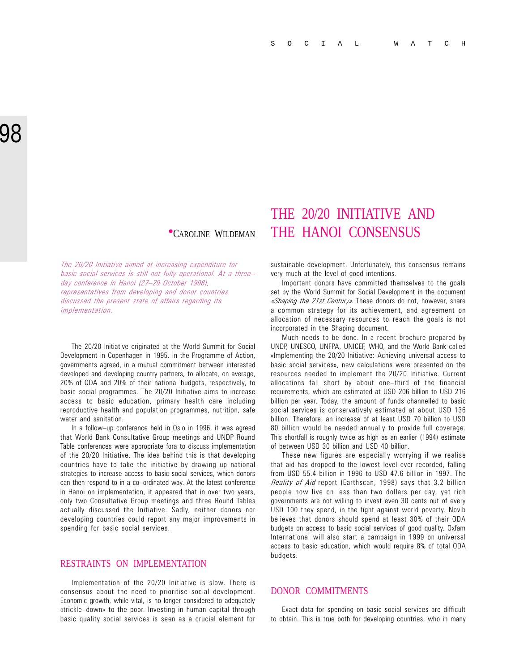The 20/20 Initiative aimed at increasing expenditure for basic social services is still not fully operational. At a three day conference in Hanoi (27-29 October 1998), representatives from developing and donor countries discussed the present state of affairs regarding its implementation.

The 20/20 Initiative originated at the World Summit for Social Development in Copenhagen in 1995. In the Programme of Action, governments agreed, in a mutual commitment between interested developed and developing country partners, to allocate, on average, 20% of ODA and 20% of their national budgets, respectively, to basic social programmes. The 20/20 Initiative aims to increase access to basic education, primary health care including reproductive health and population programmes, nutrition, safe water and sanitation.

In a follow-up conference held in Oslo in 1996, it was agreed that World Bank Consultative Group meetings and UNDP Round Table conferences were appropriate fora to discuss implementation of the 20/20 Initiative. The idea behind this is that developing countries have to take the initiative by drawing up national strategies to increase access to basic social services, which donors can then respond to in a co-ordinated way. At the latest conference in Hanoi on implementation, it appeared that in over two years, only two Consultative Group meetings and three Round Tables actually discussed the Initiative. Sadly, neither donors nor developing countries could report any major improvements in spending for basic social services.

#### RESTRAINTS ON IMPLEMENTATION

Implementation of the 20/20 Initiative is slow. There is consensus about the need to prioritise social development. Economic growth, while vital, is no longer considered to adequately «trickle-down» to the poor. Investing in human capital through basic quality social services is seen as a crucial element for

## THE 20/20 INITIATIVE AND **•CAROLINE WILDEMAN** THE HANOI CONSENSUS

sustainable development. Unfortunately, this consensus remains very much at the level of good intentions.

Important donors have committed themselves to the goals set by the World Summit for Social Development in the document «Shaping the 21st Century». These donors do not, however, share a common strategy for its achievement, and agreement on allocation of necessary resources to reach the goals is not incorporated in the Shaping document.

Much needs to be done. In a recent brochure prepared by UNDP, UNESCO, UNFPA, UNICEF, WHO, and the World Bank called «Implementing the 20/20 Initiative: Achieving universal access to basic social services», new calculations were presented on the resources needed to implement the 20/20 Initiative. Current allocations fall short by about one-third of the financial requirements, which are estimated at USD 206 billion to USD 216 billion per year. Today, the amount of funds channelled to basic social services is conservatively estimated at about USD 136 billion. Therefore, an increase of at least USD 70 billion to USD 80 billion would be needed annually to provide full coverage. This shortfall is roughly twice as high as an earlier (1994) estimate of between USD 30 billion and USD 40 billion.

These new figures are especially worrying if we realise that aid has dropped to the lowest level ever recorded, falling from USD 55.4 billion in 1996 to USD 47.6 billion in 1997. The Reality of Aid report (Earthscan, 1998) says that 3.2 billion people now live on less than two dollars per day, yet rich governments are not willing to invest even 30 cents out of every USD 100 they spend, in the fight against world poverty. Novib believes that donors should spend at least 30% of their ODA budgets on access to basic social services of good quality. Oxfam International will also start a campaign in 1999 on universal access to basic education, which would require 8% of total ODA budgets.

#### DONOR COMMITMENTS

Exact data for spending on basic social services are difficult to obtain. This is true both for developing countries, who in many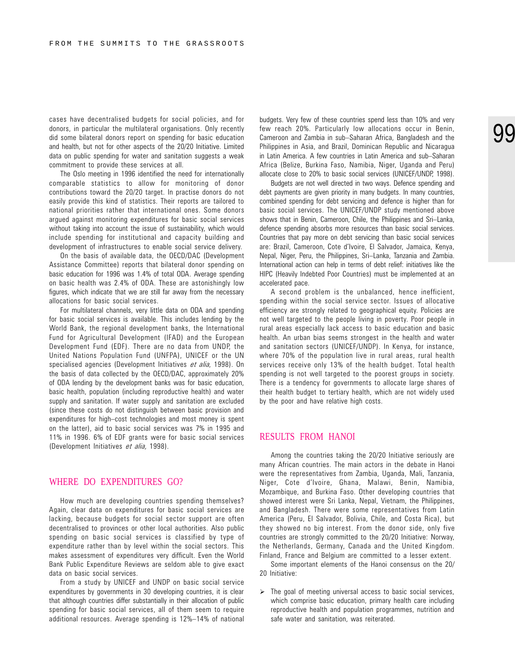cases have decentralised budgets for social policies, and for donors, in particular the multilateral organisations. Only recently did some bilateral donors report on spending for basic education and health, but not for other aspects of the 20/20 Initiative. Limited data on public spending for water and sanitation suggests a weak commitment to provide these services at all.

The Oslo meeting in 1996 identified the need for internationally comparable statistics to allow for monitoring of donor contributions toward the 20/20 target. In practise donors do not easily provide this kind of statistics. Their reports are tailored to national priorities rather that international ones. Some donors argued against monitoring expenditures for basic social services without taking into account the issue of sustainability, which would include spending for institutional and capacity building and development of infrastructures to enable social service delivery.

On the basis of available data, the OECD/DAC (Development Assistance Committee) reports that bilateral donor spending on basic education for 1996 was 1.4% of total ODA. Average spending on basic health was 2.4% of ODA. These are astonishingly low figures, which indicate that we are still far away from the necessary allocations for basic social services.

For multilateral channels, very little data on ODA and spending for basic social services is available. This includes lending by the World Bank, the regional development banks, the International Fund for Agricultural Development (IFAD) and the European Development Fund (EDF). There are no data from UNDP, the United Nations Population Fund (UNFPA), UNICEF or the UN specialised agencies (Development Initiatives et alia, 1998). On the basis of data collected by the OECD/DAC, approximately 20% of ODA lending by the development banks was for basic education, basic health, population (including reproductive health) and water supply and sanitation. If water supply and sanitation are excluded (since these costs do not distinguish between basic provision and expenditures for high-cost technologies and most money is spent on the latter), aid to basic social services was 7% in 1995 and 11% in 1996. 6% of EDF grants were for basic social services (Development Initiatives et alia, 1998).

#### WHERE DO EXPENDITURES GO?

How much are developing countries spending themselves? Again, clear data on expenditures for basic social services are lacking, because budgets for social sector support are often decentralised to provinces or other local authorities. Also public spending on basic social services is classified by type of expenditure rather than by level within the social sectors. This makes assessment of expenditures very difficult. Even the World Bank Public Expenditure Reviews are seldom able to give exact data on basic social services.

From a study by UNICEF and UNDP on basic social service expenditures by governments in 30 developing countries, it is clear that although countries differ substantially in their allocation of public spending for basic social services, all of them seem to require additional resources. Average spending is 12%-14% of national

budgets. Very few of these countries spend less than 10% and very few reach 20%. Particularly low allocations occur in Benin, Cameroon and Zambia in sub-Saharan Africa, Bangladesh and the Philippines in Asia, and Brazil, Dominican Republic and Nicaragua in Latin America. A few countries in Latin America and sub-Saharan Africa (Belize, Burkina Faso, Namibia, Niger, Uganda and Peru) allocate close to 20% to basic social services (UNICEF/UNDP, 1998).

Budgets are not well directed in two ways. Defence spending and debt payments are given priority in many budgets. In many countries, combined spending for debt servicing and defence is higher than for basic social services. The UNICEF/UNDP study mentioned above shows that in Benin, Cameroon, Chile, the Philippines and Sri-Lanka, defence spending absorbs more resources than basic social services. Countries that pay more on debt servicing than basic social services are: Brazil, Cameroon, Cote d'Ivoire, El Salvador, Jamaica, Kenya, Nepal, Niger, Peru, the Philippines, Sri-Lanka, Tanzania and Zambia. International action can help in terms of debt relief: initiatives like the HIPC (Heavily Indebted Poor Countries) must be implemented at an accelerated pace.

A second problem is the unbalanced, hence inefficient, spending within the social service sector. Issues of allocative efficiency are strongly related to geographical equity. Policies are not well targeted to the people living in poverty. Poor people in rural areas especially lack access to basic education and basic health. An urban bias seems strongest in the health and water and sanitation sectors (UNICEF/UNDP). In Kenya, for instance, where 70% of the population live in rural areas, rural health services receive only 13% of the health budget. Total health spending is not well targeted to the poorest groups in society. There is a tendency for governments to allocate large shares of their health budget to tertiary health, which are not widely used by the poor and have relative high costs.

#### RESULTS FROM HANOI

Among the countries taking the 20/20 Initiative seriously are many African countries. The main actors in the debate in Hanoi were the representatives from Zambia, Uganda, Mali, Tanzania, Niger, Cote d'Ivoire, Ghana, Malawi, Benin, Namibia, Mozambique, and Burkina Faso. Other developing countries that showed interest were Sri Lanka, Nepal, Vietnam, the Philippines, and Bangladesh. There were some representatives from Latin America (Peru, El Salvador, Bolivia, Chile, and Costa Rica), but they showed no big interest. From the donor side, only five countries are strongly committed to the 20/20 Initiative: Norway, the Netherlands, Germany, Canada and the United Kingdom. Finland, France and Belgium are committed to a lesser extent.

Some important elements of the Hanoi consensus on the 20/ 20 Initiative:

 $\triangleright$  The goal of meeting universal access to basic social services, which comprise basic education, primary health care including reproductive health and population programmes, nutrition and safe water and sanitation, was reiterated.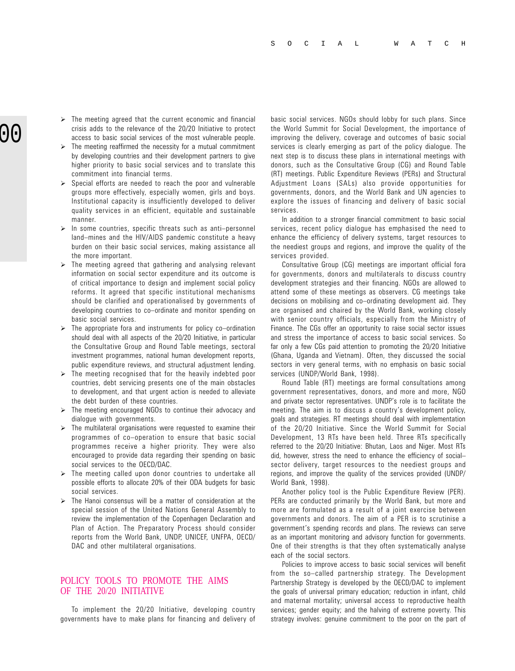- $\triangleright$  The meeting agreed that the current economic and financial crisis adds to the relevance of the 20/20 Initiative to protect access to basic social services of the most vulnerable people.
- $\triangleright$  The meeting reaffirmed the necessity for a mutual commitment by developing countries and their development partners to give higher priority to basic social services and to translate this commitment into financial terms.
- $\triangleright$  Special efforts are needed to reach the poor and vulnerable groups more effectively, especially women, girls and boys. Institutional capacity is insufficiently developed to deliver quality services in an efficient, equitable and sustainable manner.
- $\triangleright$  In some countries, specific threats such as anti-personnel land-mines and the HIV/AIDS pandemic constitute a heavy burden on their basic social services, making assistance all the more important.
- $\triangleright$  The meeting agreed that gathering and analysing relevant information on social sector expenditure and its outcome is of critical importance to design and implement social policy reforms. It agreed that specific institutional mechanisms should be clarified and operationalised by governments of developing countries to co-ordinate and monitor spending on basic social services.
- $\triangleright$  The appropriate fora and instruments for policy co-ordination should deal with all aspects of the 20/20 Initiative, in particular the Consultative Group and Round Table meetings, sectoral investment programmes, national human development reports, public expenditure reviews, and structural adjustment lending.
- $\triangleright$  The meeting recognised that for the heavily indebted poor countries, debt servicing presents one of the main obstacles to development, and that urgent action is needed to alleviate the debt burden of these countries.
- $\triangleright$  The meeting encouraged NGOs to continue their advocacy and dialogue with governments.
- $\triangleright$  The multilateral organisations were requested to examine their programmes of co-operation to ensure that basic social programmes receive a higher priority. They were also encouraged to provide data regarding their spending on basic social services to the OECD/DAC.
- $\triangleright$  The meeting called upon donor countries to undertake all possible efforts to allocate 20% of their ODA budgets for basic social services.
- $\triangleright$  The Hanoi consensus will be a matter of consideration at the special session of the United Nations General Assembly to review the implementation of the Copenhagen Declaration and Plan of Action. The Preparatory Process should consider reports from the World Bank, UNDP, UNICEF, UNFPA, OECD/ DAC and other multilateral organisations.

#### POLICY TOOLS TO PROMOTE THE AIMS OF THE 20/20 INITIATIVE

To implement the 20/20 Initiative, developing country governments have to make plans for financing and delivery of basic social services. NGOs should lobby for such plans. Since the World Summit for Social Development, the importance of improving the delivery, coverage and outcomes of basic social services is clearly emerging as part of the policy dialogue. The next step is to discuss these plans in international meetings with donors, such as the Consultative Group (CG) and Round Table (RT) meetings. Public Expenditure Reviews (PERs) and Structural Adjustment Loans (SALs) also provide opportunities for governments, donors, and the World Bank and UN agencies to explore the issues of financing and delivery of basic social services.

In addition to a stronger financial commitment to basic social services, recent policy dialogue has emphasised the need to enhance the efficiency of delivery systems, target resources to the neediest groups and regions, and improve the quality of the services provided.

Consultative Group (CG) meetings are important official fora for governments, donors and multilaterals to discuss country development strategies and their financing. NGOs are allowed to attend some of these meetings as observers. CG meetings take decisions on mobilising and co-ordinating development aid. They are organised and chaired by the World Bank, working closely with senior country officials, especially from the Ministry of Finance. The CGs offer an opportunity to raise social sector issues and stress the importance of access to basic social services. So far only a few CGs paid attention to promoting the 20/20 Initiative (Ghana, Uganda and Vietnam). Often, they discussed the social sectors in very general terms, with no emphasis on basic social services (UNDP/World Bank, 1998).

Round Table (RT) meetings are formal consultations among government representatives, donors, and more and more, NGO and private sector representatives. UNDP's role is to facilitate the meeting. The aim is to discuss a country's development policy, goals and strategies. RT meetings should deal with implementation of the 20/20 Initiative. Since the World Summit for Social Development, 13 RTs have been held. Three RTs specifically referred to the 20/20 Initiative: Bhutan, Laos and Niger. Most RTs did, however, stress the need to enhance the efficiency of social sector delivery, target resources to the neediest groups and regions, and improve the quality of the services provided (UNDP/ World Bank, 1998).

Another policy tool is the Public Expenditure Review (PER). PERs are conducted primarily by the World Bank, but more and more are formulated as a result of a joint exercise between governments and donors. The aim of a PER is to scrutinise a government's spending records and plans. The reviews can serve as an important monitoring and advisory function for governments. One of their strengths is that they often systematically analyse each of the social sectors.

Policies to improve access to basic social services will benefit from the so-called partnership strategy. The Development Partnership Strategy is developed by the OECD/DAC to implement the goals of universal primary education; reduction in infant, child and maternal mortality; universal access to reproductive health services; gender equity; and the halving of extreme poverty. This strategy involves: genuine commitment to the poor on the part of

# 00